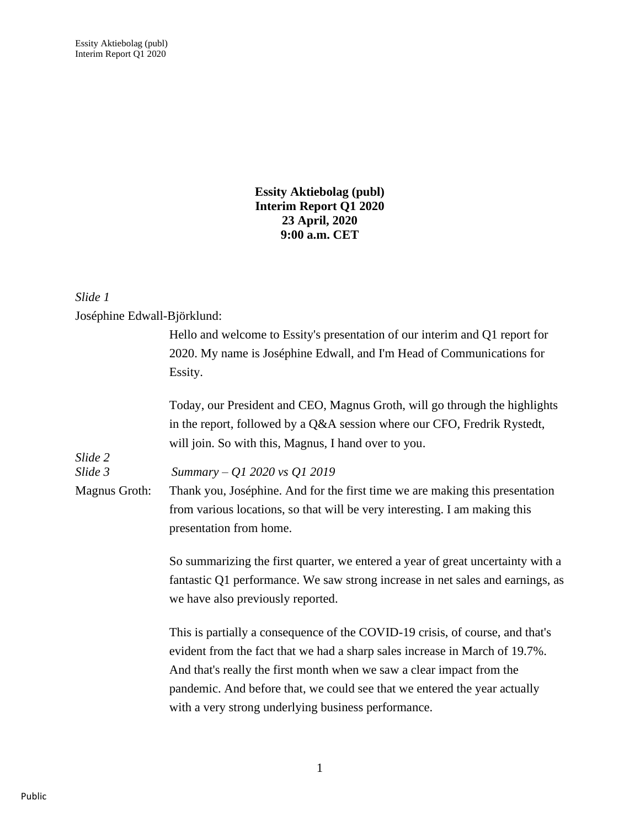**Essity Aktiebolag (publ) Interim Report Q1 2020 23 April, 2020 9:00 a.m. CET**

## *Slide 1*

Joséphine Edwall-Björklund:

|               | Hello and welcome to Essity's presentation of our interim and Q1 report for<br>2020. My name is Joséphine Edwall, and I'm Head of Communications for                                                                                                                                                                                                                      |
|---------------|---------------------------------------------------------------------------------------------------------------------------------------------------------------------------------------------------------------------------------------------------------------------------------------------------------------------------------------------------------------------------|
|               | Essity.                                                                                                                                                                                                                                                                                                                                                                   |
| Slide 2       | Today, our President and CEO, Magnus Groth, will go through the highlights<br>in the report, followed by a Q&A session where our CFO, Fredrik Rystedt,<br>will join. So with this, Magnus, I hand over to you.                                                                                                                                                            |
| Slide 3       | Summary - Q1 2020 vs Q1 2019                                                                                                                                                                                                                                                                                                                                              |
| Magnus Groth: | Thank you, Joséphine. And for the first time we are making this presentation                                                                                                                                                                                                                                                                                              |
|               | from various locations, so that will be very interesting. I am making this                                                                                                                                                                                                                                                                                                |
|               | presentation from home.                                                                                                                                                                                                                                                                                                                                                   |
|               | So summarizing the first quarter, we entered a year of great uncertainty with a<br>fantastic Q1 performance. We saw strong increase in net sales and earnings, as<br>we have also previously reported.                                                                                                                                                                    |
|               | This is partially a consequence of the COVID-19 crisis, of course, and that's<br>evident from the fact that we had a sharp sales increase in March of 19.7%.<br>And that's really the first month when we saw a clear impact from the<br>pandemic. And before that, we could see that we entered the year actually<br>with a very strong underlying business performance. |
|               |                                                                                                                                                                                                                                                                                                                                                                           |

Public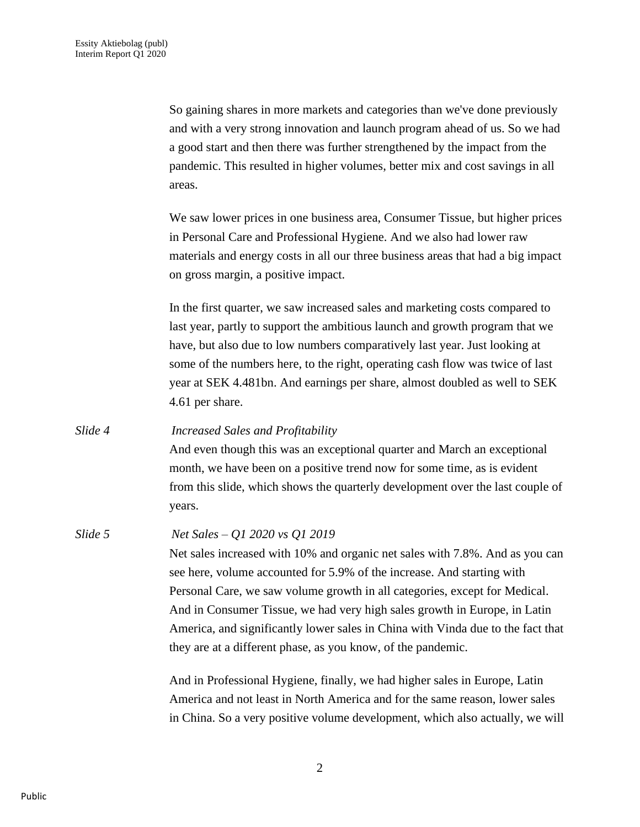So gaining shares in more markets and categories than we've done previously and with a very strong innovation and launch program ahead of us. So we had a good start and then there was further strengthened by the impact from the pandemic. This resulted in higher volumes, better mix and cost savings in all areas.

We saw lower prices in one business area, Consumer Tissue, but higher prices in Personal Care and Professional Hygiene. And we also had lower raw materials and energy costs in all our three business areas that had a big impact on gross margin, a positive impact.

In the first quarter, we saw increased sales and marketing costs compared to last year, partly to support the ambitious launch and growth program that we have, but also due to low numbers comparatively last year. Just looking at some of the numbers here, to the right, operating cash flow was twice of last year at SEK 4.481bn. And earnings per share, almost doubled as well to SEK 4.61 per share.

*Slide 4 Increased Sales and Profitability* And even though this was an exceptional quarter and March an exceptional month, we have been on a positive trend now for some time, as is evident from this slide, which shows the quarterly development over the last couple of years.

*Slide 5 Net Sales – Q1 2020 vs Q1 2019* Net sales increased with 10% and organic net sales with 7.8%. And as you can see here, volume accounted for 5.9% of the increase. And starting with Personal Care, we saw volume growth in all categories, except for Medical. And in Consumer Tissue, we had very high sales growth in Europe, in Latin America, and significantly lower sales in China with Vinda due to the fact that they are at a different phase, as you know, of the pandemic.

> And in Professional Hygiene, finally, we had higher sales in Europe, Latin America and not least in North America and for the same reason, lower sales in China. So a very positive volume development, which also actually, we will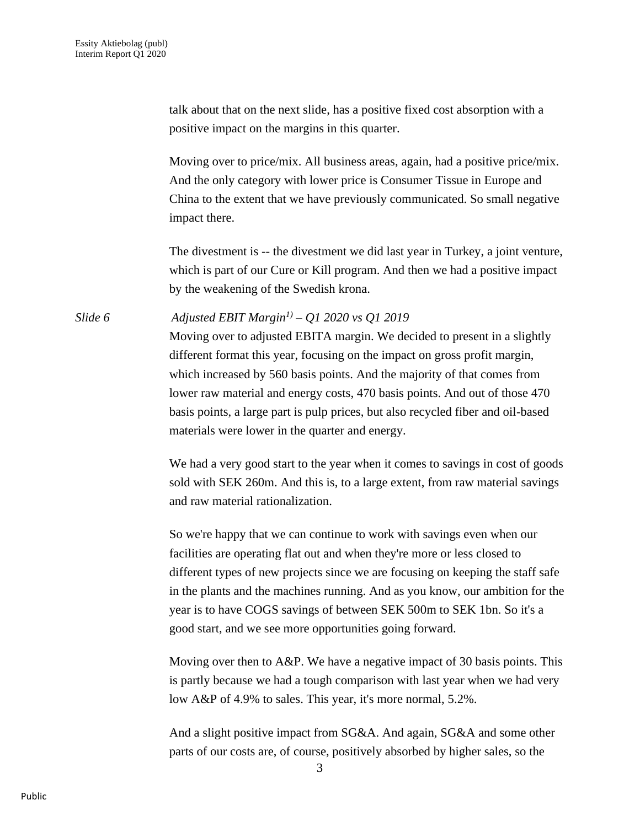talk about that on the next slide, has a positive fixed cost absorption with a positive impact on the margins in this quarter.

Moving over to price/mix. All business areas, again, had a positive price/mix. And the only category with lower price is Consumer Tissue in Europe and China to the extent that we have previously communicated. So small negative impact there.

The divestment is -- the divestment we did last year in Turkey, a joint venture, which is part of our Cure or Kill program. And then we had a positive impact by the weakening of the Swedish krona.

*Slide 6 Adjusted EBIT Margin1) – Q1 2020 vs Q1 2019*

Moving over to adjusted EBITA margin. We decided to present in a slightly different format this year, focusing on the impact on gross profit margin, which increased by 560 basis points. And the majority of that comes from lower raw material and energy costs, 470 basis points. And out of those 470 basis points, a large part is pulp prices, but also recycled fiber and oil-based materials were lower in the quarter and energy.

We had a very good start to the year when it comes to savings in cost of goods sold with SEK 260m. And this is, to a large extent, from raw material savings and raw material rationalization.

So we're happy that we can continue to work with savings even when our facilities are operating flat out and when they're more or less closed to different types of new projects since we are focusing on keeping the staff safe in the plants and the machines running. And as you know, our ambition for the year is to have COGS savings of between SEK 500m to SEK 1bn. So it's a good start, and we see more opportunities going forward.

Moving over then to A&P. We have a negative impact of 30 basis points. This is partly because we had a tough comparison with last year when we had very low A&P of 4.9% to sales. This year, it's more normal, 5.2%.

And a slight positive impact from SG&A. And again, SG&A and some other parts of our costs are, of course, positively absorbed by higher sales, so the

3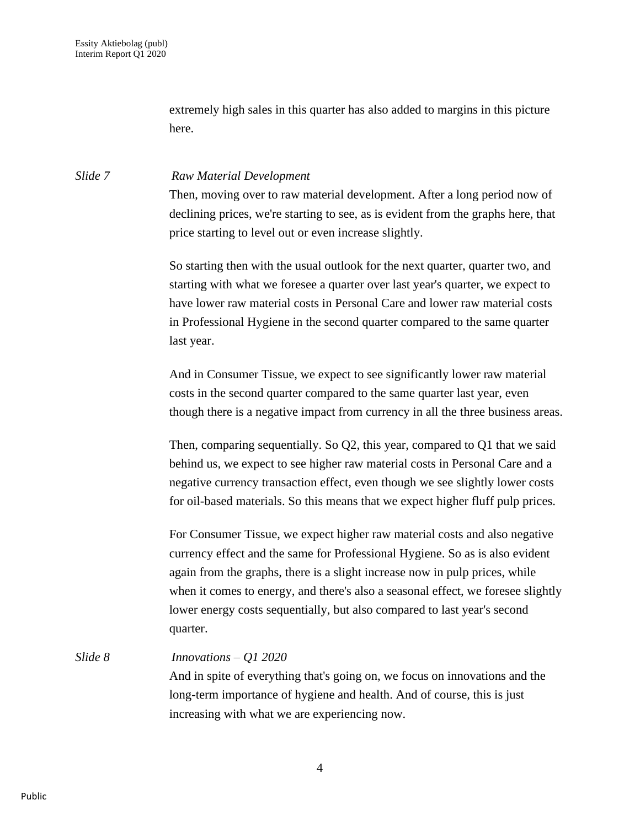extremely high sales in this quarter has also added to margins in this picture here.

### *Slide 7 Raw Material Development*

Then, moving over to raw material development. After a long period now of declining prices, we're starting to see, as is evident from the graphs here, that price starting to level out or even increase slightly.

So starting then with the usual outlook for the next quarter, quarter two, and starting with what we foresee a quarter over last year's quarter, we expect to have lower raw material costs in Personal Care and lower raw material costs in Professional Hygiene in the second quarter compared to the same quarter last year.

And in Consumer Tissue, we expect to see significantly lower raw material costs in the second quarter compared to the same quarter last year, even though there is a negative impact from currency in all the three business areas.

Then, comparing sequentially. So Q2, this year, compared to Q1 that we said behind us, we expect to see higher raw material costs in Personal Care and a negative currency transaction effect, even though we see slightly lower costs for oil-based materials. So this means that we expect higher fluff pulp prices.

For Consumer Tissue, we expect higher raw material costs and also negative currency effect and the same for Professional Hygiene. So as is also evident again from the graphs, there is a slight increase now in pulp prices, while when it comes to energy, and there's also a seasonal effect, we foresee slightly lower energy costs sequentially, but also compared to last year's second quarter.

### *Slide 8 Innovations – Q1 2020*

And in spite of everything that's going on, we focus on innovations and the long-term importance of hygiene and health. And of course, this is just increasing with what we are experiencing now.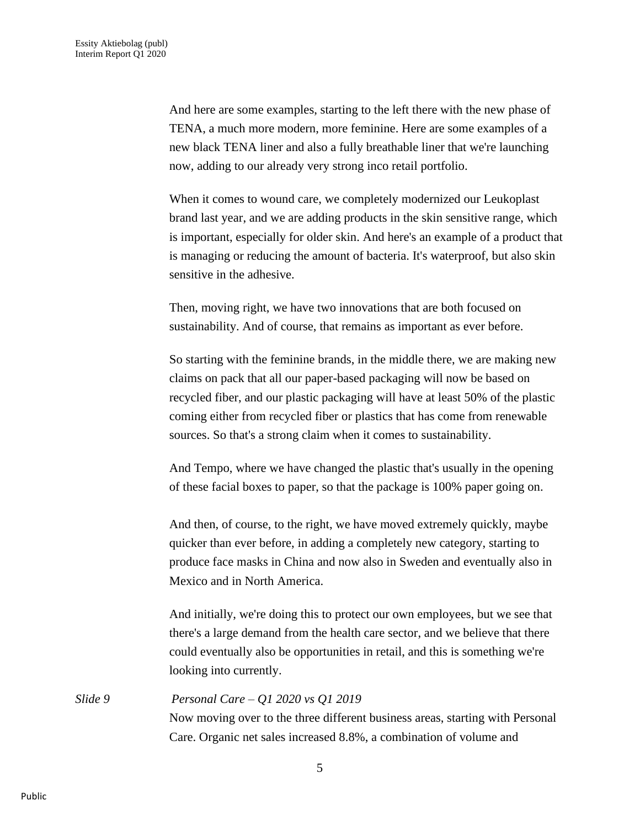And here are some examples, starting to the left there with the new phase of TENA, a much more modern, more feminine. Here are some examples of a new black TENA liner and also a fully breathable liner that we're launching now, adding to our already very strong inco retail portfolio.

When it comes to wound care, we completely modernized our Leukoplast brand last year, and we are adding products in the skin sensitive range, which is important, especially for older skin. And here's an example of a product that is managing or reducing the amount of bacteria. It's waterproof, but also skin sensitive in the adhesive.

Then, moving right, we have two innovations that are both focused on sustainability. And of course, that remains as important as ever before.

So starting with the feminine brands, in the middle there, we are making new claims on pack that all our paper-based packaging will now be based on recycled fiber, and our plastic packaging will have at least 50% of the plastic coming either from recycled fiber or plastics that has come from renewable sources. So that's a strong claim when it comes to sustainability.

And Tempo, where we have changed the plastic that's usually in the opening of these facial boxes to paper, so that the package is 100% paper going on.

And then, of course, to the right, we have moved extremely quickly, maybe quicker than ever before, in adding a completely new category, starting to produce face masks in China and now also in Sweden and eventually also in Mexico and in North America.

And initially, we're doing this to protect our own employees, but we see that there's a large demand from the health care sector, and we believe that there could eventually also be opportunities in retail, and this is something we're looking into currently.

*Slide 9 Personal Care – Q1 2020 vs Q1 2019* Now moving over to the three different business areas, starting with Personal Care. Organic net sales increased 8.8%, a combination of volume and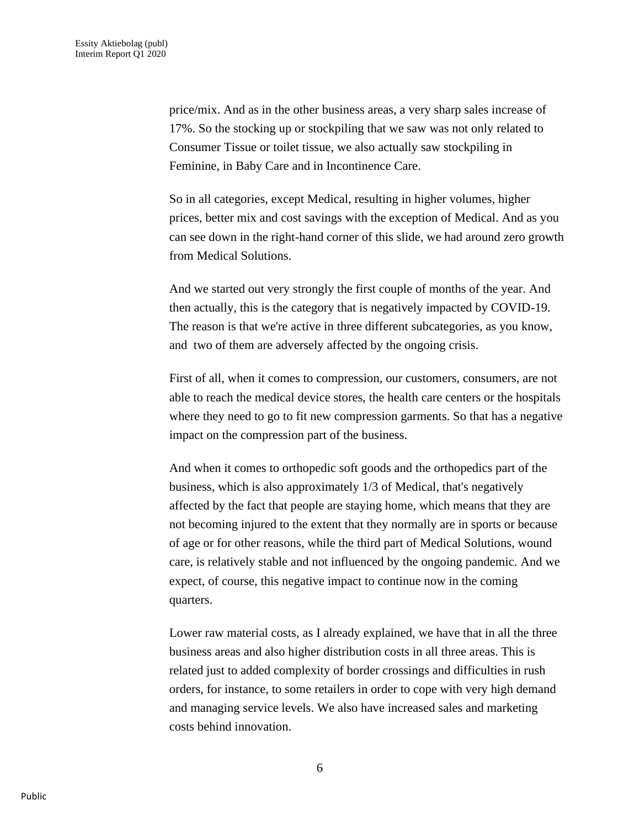price/mix. And as in the other business areas, a very sharp sales increase of 17%. So the stocking up or stockpiling that we saw was not only related to Consumer Tissue or toilet tissue, we also actually saw stockpiling in Feminine, in Baby Care and in Incontinence Care.

So in all categories, except Medical, resulting in higher volumes, higher prices, better mix and cost savings with the exception of Medical. And as you can see down in the right-hand corner of this slide, we had around zero growth from Medical Solutions.

And we started out very strongly the first couple of months of the year. And then actually, this is the category that is negatively impacted by COVID-19. The reason is that we're active in three different subcategories, as you know, and two of them are adversely affected by the ongoing crisis.

First of all, when it comes to compression, our customers, consumers, are not able to reach the medical device stores, the health care centers or the hospitals where they need to go to fit new compression garments. So that has a negative impact on the compression part of the business.

And when it comes to orthopedic soft goods and the orthopedics part of the business, which is also approximately 1/3 of Medical, that's negatively affected by the fact that people are staying home, which means that they are not becoming injured to the extent that they normally are in sports or because of age or for other reasons, while the third part of Medical Solutions, wound care, is relatively stable and not influenced by the ongoing pandemic. And we expect, of course, this negative impact to continue now in the coming quarters.

Lower raw material costs, as I already explained, we have that in all the three business areas and also higher distribution costs in all three areas. This is related just to added complexity of border crossings and difficulties in rush orders, for instance, to some retailers in order to cope with very high demand and managing service levels. We also have increased sales and marketing costs behind innovation.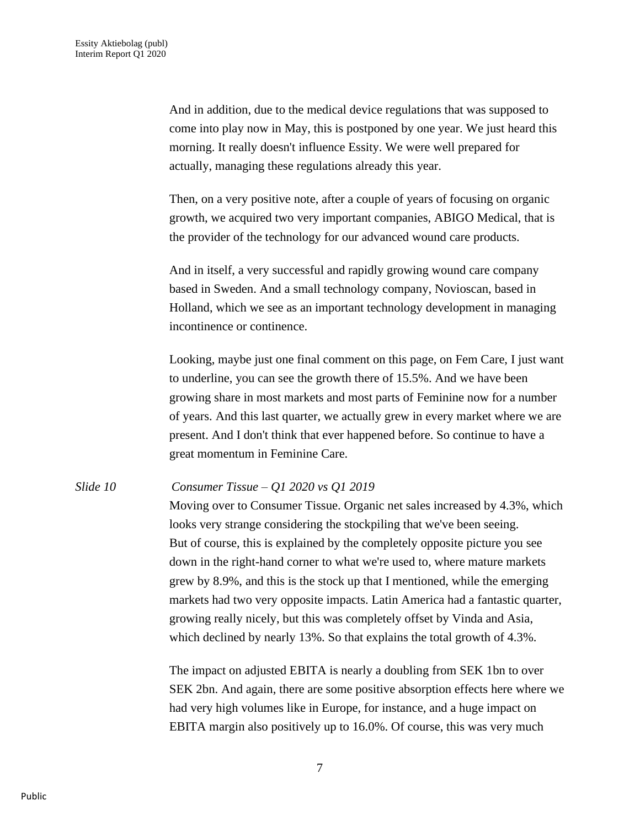And in addition, due to the medical device regulations that was supposed to come into play now in May, this is postponed by one year. We just heard this morning. It really doesn't influence Essity. We were well prepared for actually, managing these regulations already this year.

Then, on a very positive note, after a couple of years of focusing on organic growth, we acquired two very important companies, ABIGO Medical, that is the provider of the technology for our advanced wound care products.

And in itself, a very successful and rapidly growing wound care company based in Sweden. And a small technology company, Novioscan, based in Holland, which we see as an important technology development in managing incontinence or continence.

Looking, maybe just one final comment on this page, on Fem Care, I just want to underline, you can see the growth there of 15.5%. And we have been growing share in most markets and most parts of Feminine now for a number of years. And this last quarter, we actually grew in every market where we are present. And I don't think that ever happened before. So continue to have a great momentum in Feminine Care.

# *Slide 10 Consumer Tissue – Q1 2020 vs Q1 2019* Moving over to Consumer Tissue. Organic net sales increased by 4.3%, which

looks very strange considering the stockpiling that we've been seeing. But of course, this is explained by the completely opposite picture you see down in the right-hand corner to what we're used to, where mature markets grew by 8.9%, and this is the stock up that I mentioned, while the emerging markets had two very opposite impacts. Latin America had a fantastic quarter, growing really nicely, but this was completely offset by Vinda and Asia, which declined by nearly 13%. So that explains the total growth of 4.3%.

The impact on adjusted EBITA is nearly a doubling from SEK 1bn to over SEK 2bn. And again, there are some positive absorption effects here where we had very high volumes like in Europe, for instance, and a huge impact on EBITA margin also positively up to 16.0%. Of course, this was very much

7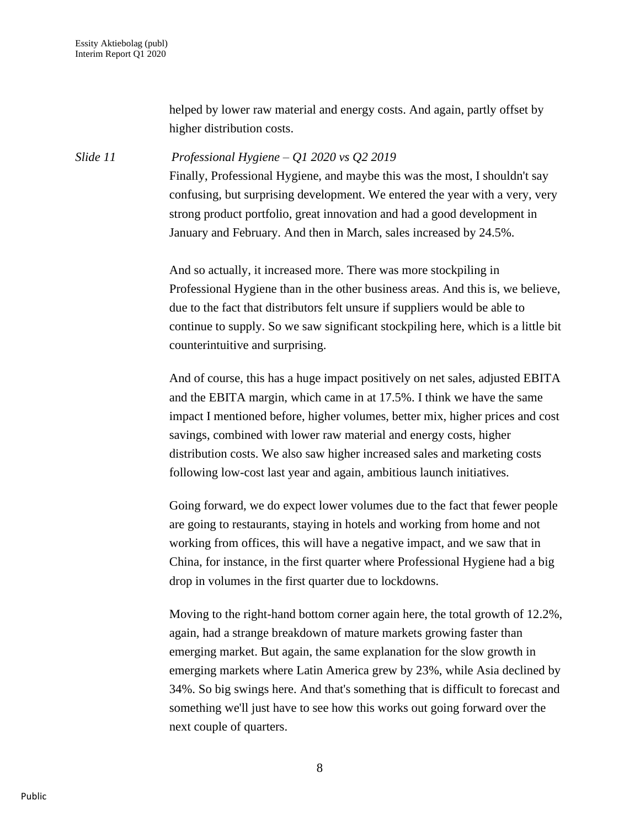helped by lower raw material and energy costs. And again, partly offset by higher distribution costs.

*Slide 11 Professional Hygiene – Q1 2020 vs Q2 2019* Finally, Professional Hygiene, and maybe this was the most, I shouldn't say confusing, but surprising development. We entered the year with a very, very strong product portfolio, great innovation and had a good development in January and February. And then in March, sales increased by 24.5%.

> And so actually, it increased more. There was more stockpiling in Professional Hygiene than in the other business areas. And this is, we believe, due to the fact that distributors felt unsure if suppliers would be able to continue to supply. So we saw significant stockpiling here, which is a little bit counterintuitive and surprising.

> And of course, this has a huge impact positively on net sales, adjusted EBITA and the EBITA margin, which came in at 17.5%. I think we have the same impact I mentioned before, higher volumes, better mix, higher prices and cost savings, combined with lower raw material and energy costs, higher distribution costs. We also saw higher increased sales and marketing costs following low-cost last year and again, ambitious launch initiatives.

> Going forward, we do expect lower volumes due to the fact that fewer people are going to restaurants, staying in hotels and working from home and not working from offices, this will have a negative impact, and we saw that in China, for instance, in the first quarter where Professional Hygiene had a big drop in volumes in the first quarter due to lockdowns.

> Moving to the right-hand bottom corner again here, the total growth of 12.2%, again, had a strange breakdown of mature markets growing faster than emerging market. But again, the same explanation for the slow growth in emerging markets where Latin America grew by 23%, while Asia declined by 34%. So big swings here. And that's something that is difficult to forecast and something we'll just have to see how this works out going forward over the next couple of quarters.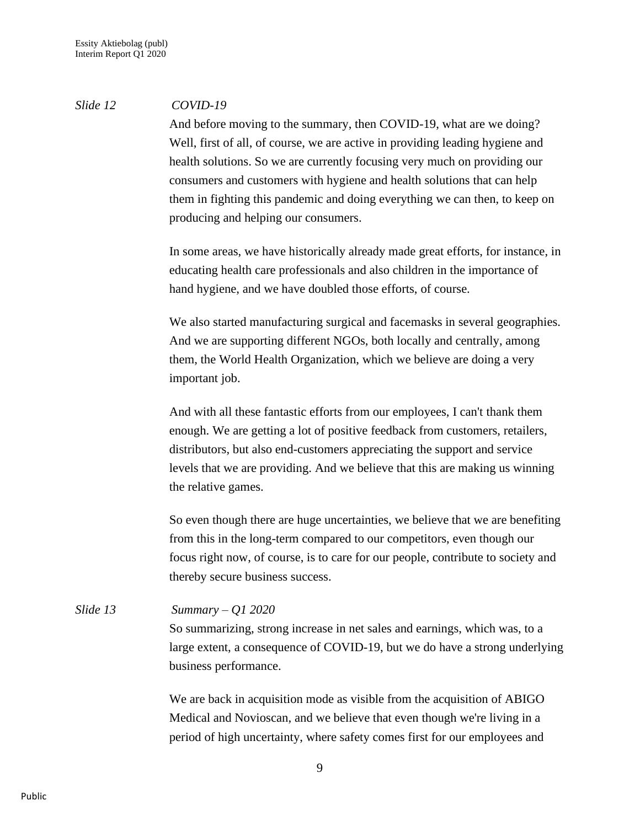### *Slide 12 COVID-19*

And before moving to the summary, then COVID-19, what are we doing? Well, first of all, of course, we are active in providing leading hygiene and health solutions. So we are currently focusing very much on providing our consumers and customers with hygiene and health solutions that can help them in fighting this pandemic and doing everything we can then, to keep on producing and helping our consumers.

In some areas, we have historically already made great efforts, for instance, in educating health care professionals and also children in the importance of hand hygiene, and we have doubled those efforts, of course.

We also started manufacturing surgical and facemasks in several geographies. And we are supporting different NGOs, both locally and centrally, among them, the World Health Organization, which we believe are doing a very important job.

And with all these fantastic efforts from our employees, I can't thank them enough. We are getting a lot of positive feedback from customers, retailers, distributors, but also end-customers appreciating the support and service levels that we are providing. And we believe that this are making us winning the relative games.

So even though there are huge uncertainties, we believe that we are benefiting from this in the long-term compared to our competitors, even though our focus right now, of course, is to care for our people, contribute to society and thereby secure business success.

*Slide 13 Summary – Q1 2020* So summarizing, strong increase in net sales and earnings, which was, to a large extent, a consequence of COVID-19, but we do have a strong underlying business performance.

> We are back in acquisition mode as visible from the acquisition of ABIGO Medical and Novioscan, and we believe that even though we're living in a period of high uncertainty, where safety comes first for our employees and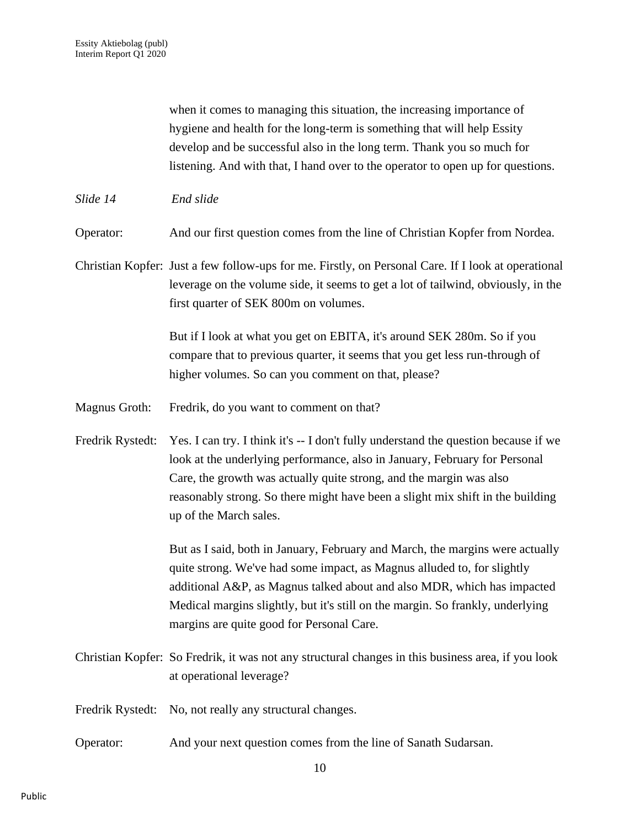when it comes to managing this situation, the increasing importance of hygiene and health for the long-term is something that will help Essity develop and be successful also in the long term. Thank you so much for listening. And with that, I hand over to the operator to open up for questions.

*Slide 14 End slide*

Operator: And our first question comes from the line of Christian Kopfer from Nordea.

Christian Kopfer: Just a few follow-ups for me. Firstly, on Personal Care. If I look at operational leverage on the volume side, it seems to get a lot of tailwind, obviously, in the first quarter of SEK 800m on volumes.

> But if I look at what you get on EBITA, it's around SEK 280m. So if you compare that to previous quarter, it seems that you get less run-through of higher volumes. So can you comment on that, please?

- Magnus Groth: Fredrik, do you want to comment on that?
- Fredrik Rystedt: Yes. I can try. I think it's -- I don't fully understand the question because if we look at the underlying performance, also in January, February for Personal Care, the growth was actually quite strong, and the margin was also reasonably strong. So there might have been a slight mix shift in the building up of the March sales.

But as I said, both in January, February and March, the margins were actually quite strong. We've had some impact, as Magnus alluded to, for slightly additional A&P, as Magnus talked about and also MDR, which has impacted Medical margins slightly, but it's still on the margin. So frankly, underlying margins are quite good for Personal Care.

- Christian Kopfer: So Fredrik, it was not any structural changes in this business area, if you look at operational leverage?
- Fredrik Rystedt: No, not really any structural changes.
- Operator: And your next question comes from the line of Sanath Sudarsan.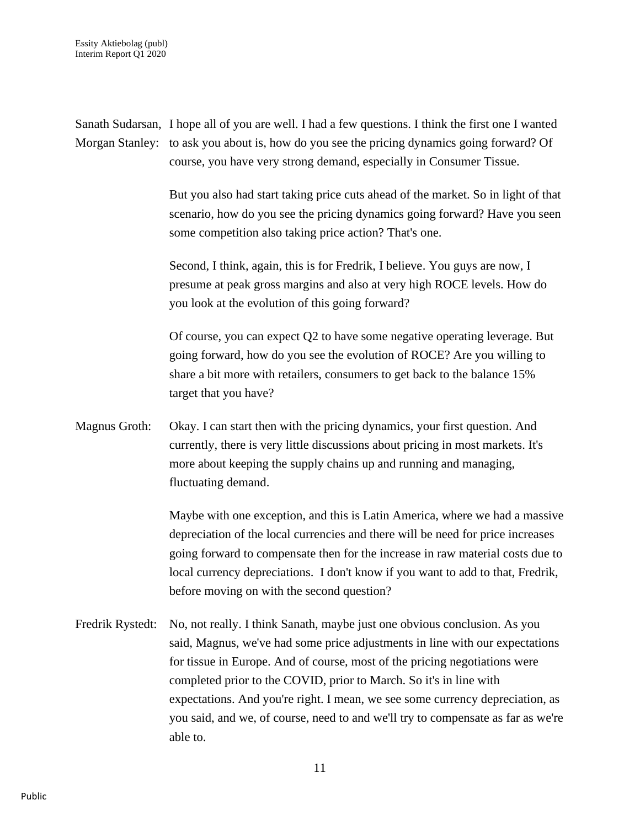Sanath Sudarsan, I hope all of you are well. I had a few questions. I think the first one I wanted Morgan Stanley: to ask you about is, how do you see the pricing dynamics going forward? Of course, you have very strong demand, especially in Consumer Tissue. But you also had start taking price cuts ahead of the market. So in light of that scenario, how do you see the pricing dynamics going forward? Have you seen some competition also taking price action? That's one. Second, I think, again, this is for Fredrik, I believe. You guys are now, I presume at peak gross margins and also at very high ROCE levels. How do you look at the evolution of this going forward? Of course, you can expect Q2 to have some negative operating leverage. But going forward, how do you see the evolution of ROCE? Are you willing to share a bit more with retailers, consumers to get back to the balance 15% target that you have? Magnus Groth: Okay. I can start then with the pricing dynamics, your first question. And currently, there is very little discussions about pricing in most markets. It's more about keeping the supply chains up and running and managing, fluctuating demand. Maybe with one exception, and this is Latin America, where we had a massive depreciation of the local currencies and there will be need for price increases going forward to compensate then for the increase in raw material costs due to local currency depreciations. I don't know if you want to add to that, Fredrik, before moving on with the second question? Fredrik Rystedt: No, not really. I think Sanath, maybe just one obvious conclusion. As you said, Magnus, we've had some price adjustments in line with our expectations for tissue in Europe. And of course, most of the pricing negotiations were completed prior to the COVID, prior to March. So it's in line with expectations. And you're right. I mean, we see some currency depreciation, as you said, and we, of course, need to and we'll try to compensate as far as we're able to.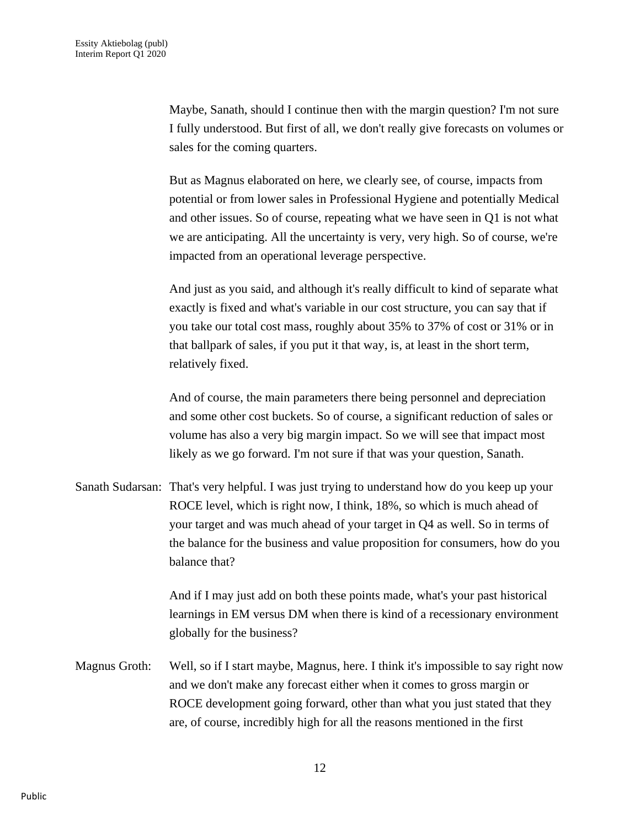Maybe, Sanath, should I continue then with the margin question? I'm not sure I fully understood. But first of all, we don't really give forecasts on volumes or sales for the coming quarters.

But as Magnus elaborated on here, we clearly see, of course, impacts from potential or from lower sales in Professional Hygiene and potentially Medical and other issues. So of course, repeating what we have seen in Q1 is not what we are anticipating. All the uncertainty is very, very high. So of course, we're impacted from an operational leverage perspective.

And just as you said, and although it's really difficult to kind of separate what exactly is fixed and what's variable in our cost structure, you can say that if you take our total cost mass, roughly about 35% to 37% of cost or 31% or in that ballpark of sales, if you put it that way, is, at least in the short term, relatively fixed.

And of course, the main parameters there being personnel and depreciation and some other cost buckets. So of course, a significant reduction of sales or volume has also a very big margin impact. So we will see that impact most likely as we go forward. I'm not sure if that was your question, Sanath.

Sanath Sudarsan: That's very helpful. I was just trying to understand how do you keep up your ROCE level, which is right now, I think, 18%, so which is much ahead of your target and was much ahead of your target in Q4 as well. So in terms of the balance for the business and value proposition for consumers, how do you balance that?

> And if I may just add on both these points made, what's your past historical learnings in EM versus DM when there is kind of a recessionary environment globally for the business?

Magnus Groth: Well, so if I start maybe, Magnus, here. I think it's impossible to say right now and we don't make any forecast either when it comes to gross margin or ROCE development going forward, other than what you just stated that they are, of course, incredibly high for all the reasons mentioned in the first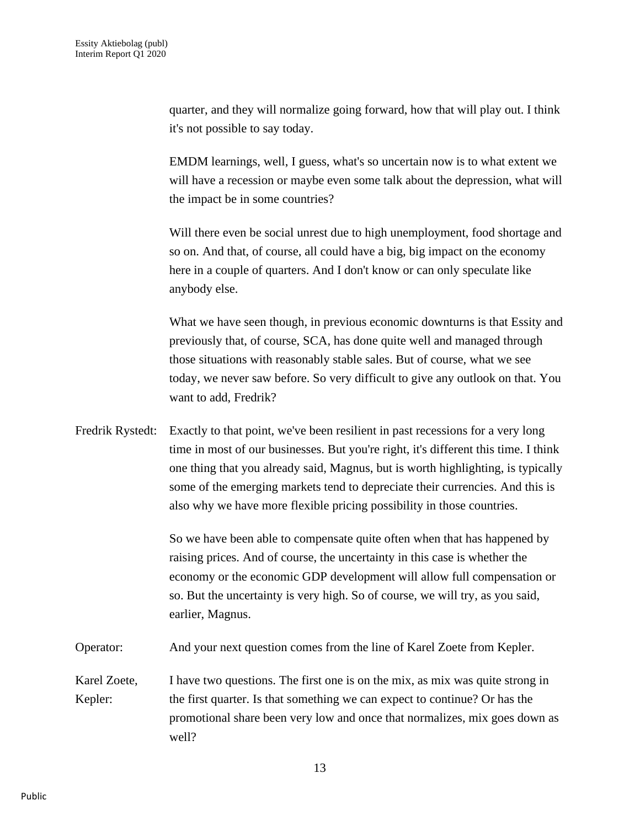quarter, and they will normalize going forward, how that will play out. I think it's not possible to say today.

EMDM learnings, well, I guess, what's so uncertain now is to what extent we will have a recession or maybe even some talk about the depression, what will the impact be in some countries?

Will there even be social unrest due to high unemployment, food shortage and so on. And that, of course, all could have a big, big impact on the economy here in a couple of quarters. And I don't know or can only speculate like anybody else.

What we have seen though, in previous economic downturns is that Essity and previously that, of course, SCA, has done quite well and managed through those situations with reasonably stable sales. But of course, what we see today, we never saw before. So very difficult to give any outlook on that. You want to add, Fredrik?

Fredrik Rystedt: Exactly to that point, we've been resilient in past recessions for a very long time in most of our businesses. But you're right, it's different this time. I think one thing that you already said, Magnus, but is worth highlighting, is typically some of the emerging markets tend to depreciate their currencies. And this is also why we have more flexible pricing possibility in those countries.

> So we have been able to compensate quite often when that has happened by raising prices. And of course, the uncertainty in this case is whether the economy or the economic GDP development will allow full compensation or so. But the uncertainty is very high. So of course, we will try, as you said, earlier, Magnus.

Operator: And your next question comes from the line of Karel Zoete from Kepler.

Karel Zoete, I have two questions. The first one is on the mix, as mix was quite strong in Kepler: the first quarter. Is that something we can expect to continue? Or has the promotional share been very low and once that normalizes, mix goes down as well?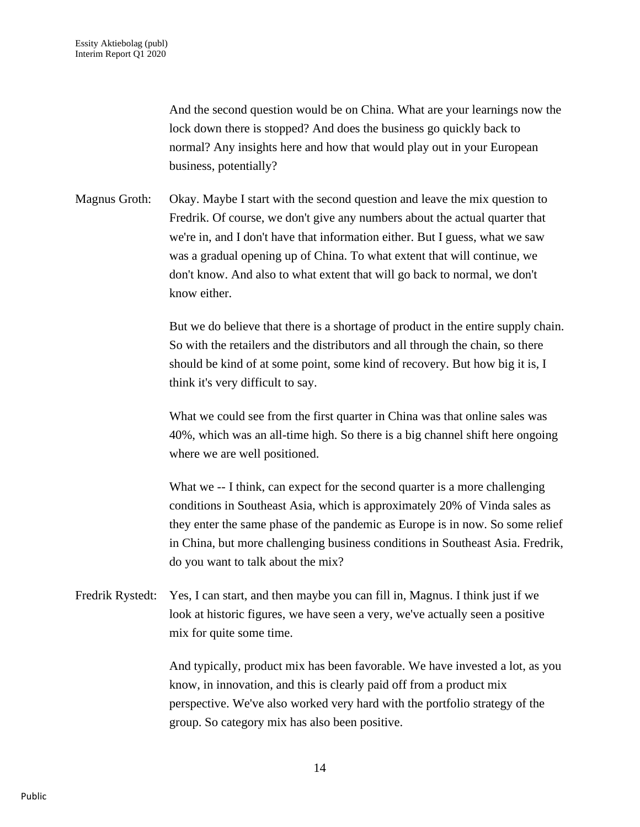And the second question would be on China. What are your learnings now the lock down there is stopped? And does the business go quickly back to normal? Any insights here and how that would play out in your European business, potentially?

Magnus Groth: Okay. Maybe I start with the second question and leave the mix question to Fredrik. Of course, we don't give any numbers about the actual quarter that we're in, and I don't have that information either. But I guess, what we saw was a gradual opening up of China. To what extent that will continue, we don't know. And also to what extent that will go back to normal, we don't know either.

> But we do believe that there is a shortage of product in the entire supply chain. So with the retailers and the distributors and all through the chain, so there should be kind of at some point, some kind of recovery. But how big it is, I think it's very difficult to say.

What we could see from the first quarter in China was that online sales was 40%, which was an all-time high. So there is a big channel shift here ongoing where we are well positioned.

What we -- I think, can expect for the second quarter is a more challenging conditions in Southeast Asia, which is approximately 20% of Vinda sales as they enter the same phase of the pandemic as Europe is in now. So some relief in China, but more challenging business conditions in Southeast Asia. Fredrik, do you want to talk about the mix?

Fredrik Rystedt: Yes, I can start, and then maybe you can fill in, Magnus. I think just if we look at historic figures, we have seen a very, we've actually seen a positive mix for quite some time.

> And typically, product mix has been favorable. We have invested a lot, as you know, in innovation, and this is clearly paid off from a product mix perspective. We've also worked very hard with the portfolio strategy of the group. So category mix has also been positive.

> > 14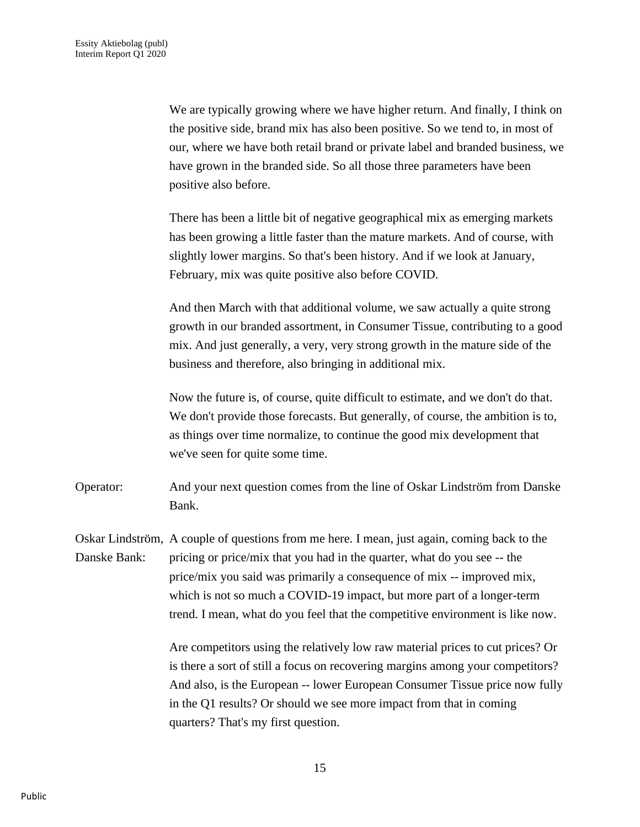We are typically growing where we have higher return. And finally, I think on the positive side, brand mix has also been positive. So we tend to, in most of our, where we have both retail brand or private label and branded business, we have grown in the branded side. So all those three parameters have been positive also before.

There has been a little bit of negative geographical mix as emerging markets has been growing a little faster than the mature markets. And of course, with slightly lower margins. So that's been history. And if we look at January, February, mix was quite positive also before COVID.

And then March with that additional volume, we saw actually a quite strong growth in our branded assortment, in Consumer Tissue, contributing to a good mix. And just generally, a very, very strong growth in the mature side of the business and therefore, also bringing in additional mix.

Now the future is, of course, quite difficult to estimate, and we don't do that. We don't provide those forecasts. But generally, of course, the ambition is to, as things over time normalize, to continue the good mix development that we've seen for quite some time.

Operator: And your next question comes from the line of Oskar Lindström from Danske Bank.

Oskar Lindström, A couple of questions from me here. I mean, just again, coming back to the Danske Bank: pricing or price/mix that you had in the quarter, what do you see -- the price/mix you said was primarily a consequence of mix -- improved mix, which is not so much a COVID-19 impact, but more part of a longer-term trend. I mean, what do you feel that the competitive environment is like now.

> Are competitors using the relatively low raw material prices to cut prices? Or is there a sort of still a focus on recovering margins among your competitors? And also, is the European -- lower European Consumer Tissue price now fully in the Q1 results? Or should we see more impact from that in coming quarters? That's my first question.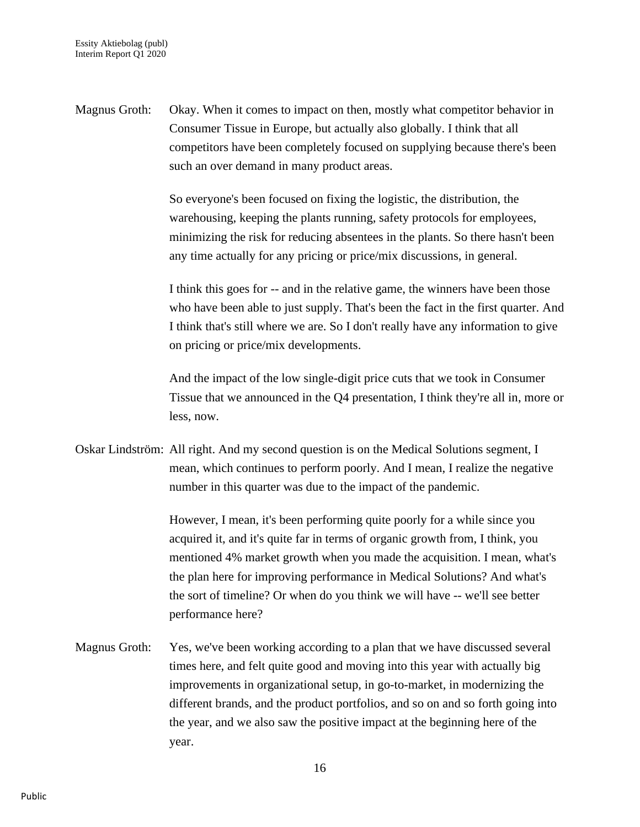Magnus Groth: Okay. When it comes to impact on then, mostly what competitor behavior in Consumer Tissue in Europe, but actually also globally. I think that all competitors have been completely focused on supplying because there's been such an over demand in many product areas.

> So everyone's been focused on fixing the logistic, the distribution, the warehousing, keeping the plants running, safety protocols for employees, minimizing the risk for reducing absentees in the plants. So there hasn't been any time actually for any pricing or price/mix discussions, in general.

I think this goes for -- and in the relative game, the winners have been those who have been able to just supply. That's been the fact in the first quarter. And I think that's still where we are. So I don't really have any information to give on pricing or price/mix developments.

And the impact of the low single-digit price cuts that we took in Consumer Tissue that we announced in the Q4 presentation, I think they're all in, more or less, now.

Oskar Lindström: All right. And my second question is on the Medical Solutions segment, I mean, which continues to perform poorly. And I mean, I realize the negative number in this quarter was due to the impact of the pandemic.

> However, I mean, it's been performing quite poorly for a while since you acquired it, and it's quite far in terms of organic growth from, I think, you mentioned 4% market growth when you made the acquisition. I mean, what's the plan here for improving performance in Medical Solutions? And what's the sort of timeline? Or when do you think we will have -- we'll see better performance here?

Magnus Groth: Yes, we've been working according to a plan that we have discussed several times here, and felt quite good and moving into this year with actually big improvements in organizational setup, in go-to-market, in modernizing the different brands, and the product portfolios, and so on and so forth going into the year, and we also saw the positive impact at the beginning here of the year.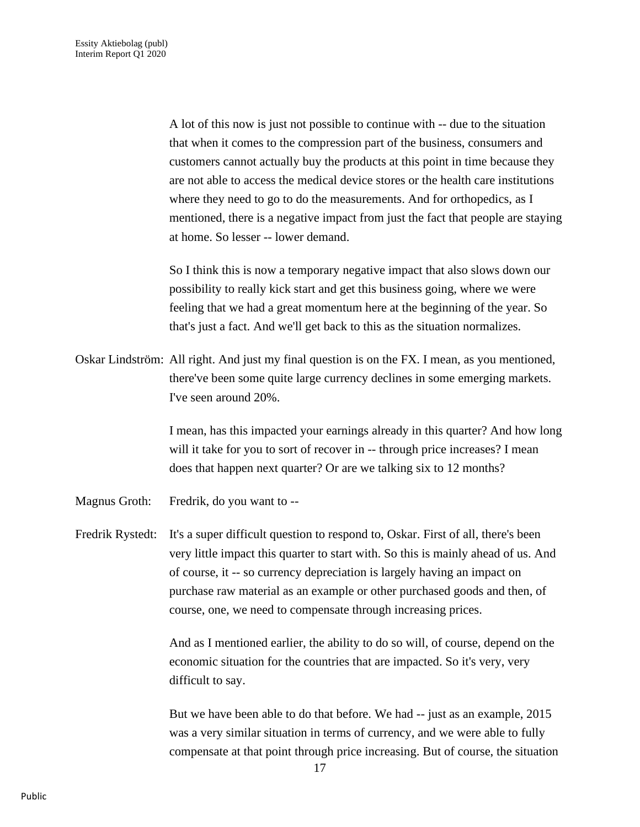A lot of this now is just not possible to continue with -- due to the situation that when it comes to the compression part of the business, consumers and customers cannot actually buy the products at this point in time because they are not able to access the medical device stores or the health care institutions where they need to go to do the measurements. And for orthopedics, as I mentioned, there is a negative impact from just the fact that people are staying at home. So lesser -- lower demand.

So I think this is now a temporary negative impact that also slows down our possibility to really kick start and get this business going, where we were feeling that we had a great momentum here at the beginning of the year. So that's just a fact. And we'll get back to this as the situation normalizes.

Oskar Lindström: All right. And just my final question is on the FX. I mean, as you mentioned, there've been some quite large currency declines in some emerging markets. I've seen around 20%.

> I mean, has this impacted your earnings already in this quarter? And how long will it take for you to sort of recover in -- through price increases? I mean does that happen next quarter? Or are we talking six to 12 months?

Magnus Groth: Fredrik, do you want to --

Fredrik Rystedt: It's a super difficult question to respond to, Oskar. First of all, there's been very little impact this quarter to start with. So this is mainly ahead of us. And of course, it -- so currency depreciation is largely having an impact on purchase raw material as an example or other purchased goods and then, of course, one, we need to compensate through increasing prices.

> And as I mentioned earlier, the ability to do so will, of course, depend on the economic situation for the countries that are impacted. So it's very, very difficult to say.

But we have been able to do that before. We had -- just as an example, 2015 was a very similar situation in terms of currency, and we were able to fully compensate at that point through price increasing. But of course, the situation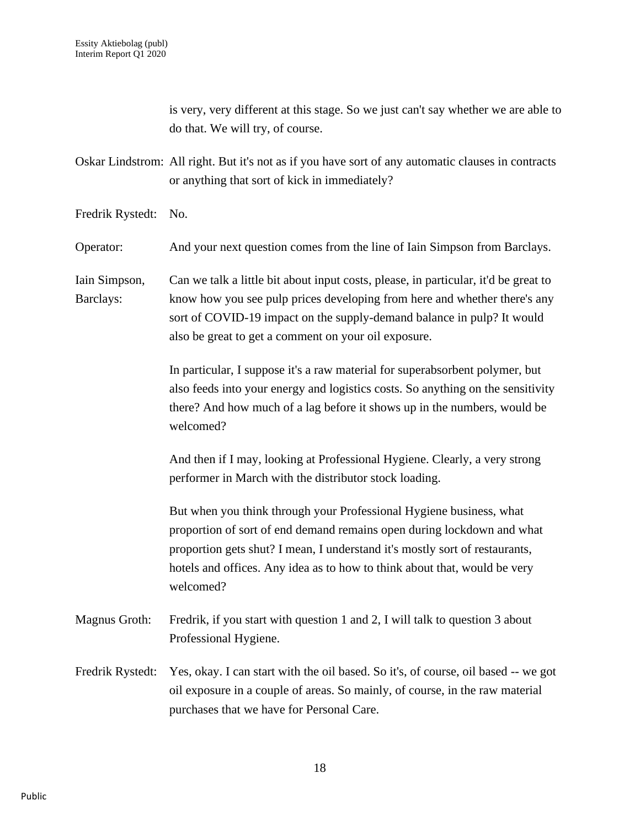is very, very different at this stage. So we just can't say whether we are able to do that. We will try, of course.

Oskar Lindstrom: All right. But it's not as if you have sort of any automatic clauses in contracts or anything that sort of kick in immediately?

Fredrik Rystedt: No.

Operator: And your next question comes from the line of Iain Simpson from Barclays.

Iain Simpson, Can we talk a little bit about input costs, please, in particular, it'd be great to Barclays: know how you see pulp prices developing from here and whether there's any sort of COVID-19 impact on the supply-demand balance in pulp? It would also be great to get a comment on your oil exposure.

> In particular, I suppose it's a raw material for superabsorbent polymer, but also feeds into your energy and logistics costs. So anything on the sensitivity there? And how much of a lag before it shows up in the numbers, would be welcomed?

And then if I may, looking at Professional Hygiene. Clearly, a very strong performer in March with the distributor stock loading.

But when you think through your Professional Hygiene business, what proportion of sort of end demand remains open during lockdown and what proportion gets shut? I mean, I understand it's mostly sort of restaurants, hotels and offices. Any idea as to how to think about that, would be very welcomed?

- Magnus Groth: Fredrik, if you start with question 1 and 2, I will talk to question 3 about Professional Hygiene.
- Fredrik Rystedt: Yes, okay. I can start with the oil based. So it's, of course, oil based -- we got oil exposure in a couple of areas. So mainly, of course, in the raw material purchases that we have for Personal Care.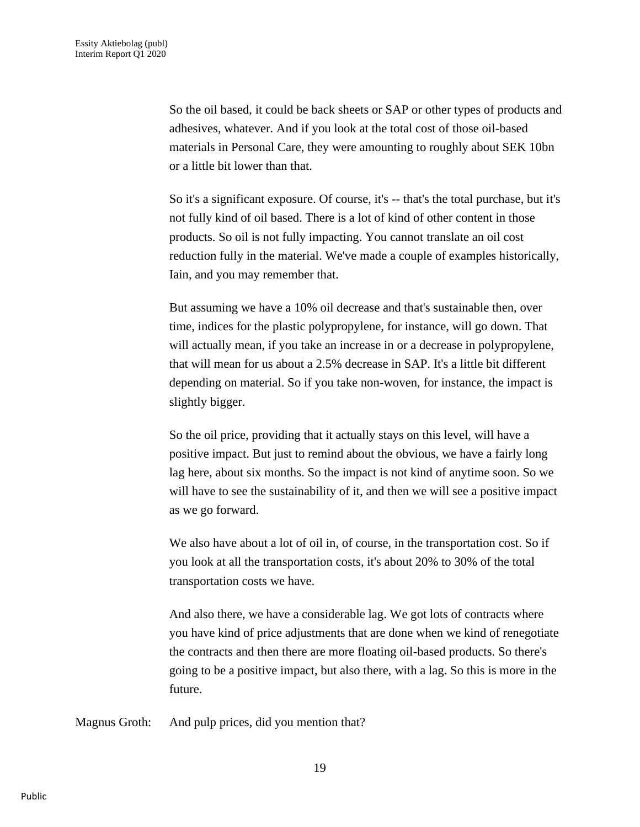So the oil based, it could be back sheets or SAP or other types of products and adhesives, whatever. And if you look at the total cost of those oil-based materials in Personal Care, they were amounting to roughly about SEK 10bn or a little bit lower than that.

So it's a significant exposure. Of course, it's -- that's the total purchase, but it's not fully kind of oil based. There is a lot of kind of other content in those products. So oil is not fully impacting. You cannot translate an oil cost reduction fully in the material. We've made a couple of examples historically, Iain, and you may remember that.

But assuming we have a 10% oil decrease and that's sustainable then, over time, indices for the plastic polypropylene, for instance, will go down. That will actually mean, if you take an increase in or a decrease in polypropylene, that will mean for us about a 2.5% decrease in SAP. It's a little bit different depending on material. So if you take non-woven, for instance, the impact is slightly bigger.

So the oil price, providing that it actually stays on this level, will have a positive impact. But just to remind about the obvious, we have a fairly long lag here, about six months. So the impact is not kind of anytime soon. So we will have to see the sustainability of it, and then we will see a positive impact as we go forward.

We also have about a lot of oil in, of course, in the transportation cost. So if you look at all the transportation costs, it's about 20% to 30% of the total transportation costs we have.

And also there, we have a considerable lag. We got lots of contracts where you have kind of price adjustments that are done when we kind of renegotiate the contracts and then there are more floating oil-based products. So there's going to be a positive impact, but also there, with a lag. So this is more in the future.

Magnus Groth: And pulp prices, did you mention that?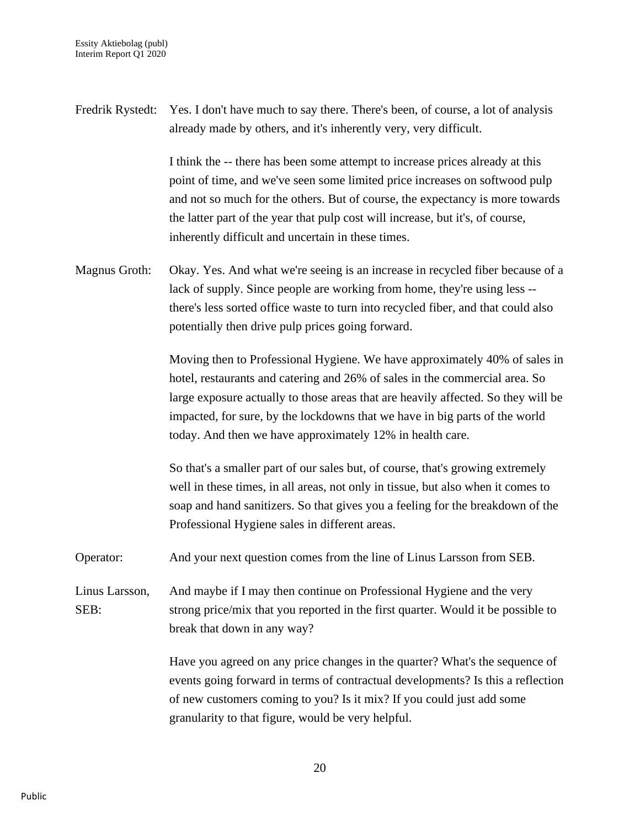Fredrik Rystedt: Yes. I don't have much to say there. There's been, of course, a lot of analysis already made by others, and it's inherently very, very difficult.

> I think the -- there has been some attempt to increase prices already at this point of time, and we've seen some limited price increases on softwood pulp and not so much for the others. But of course, the expectancy is more towards the latter part of the year that pulp cost will increase, but it's, of course, inherently difficult and uncertain in these times.

Magnus Groth: Okay. Yes. And what we're seeing is an increase in recycled fiber because of a lack of supply. Since people are working from home, they're using less - there's less sorted office waste to turn into recycled fiber, and that could also potentially then drive pulp prices going forward.

> Moving then to Professional Hygiene. We have approximately 40% of sales in hotel, restaurants and catering and 26% of sales in the commercial area. So large exposure actually to those areas that are heavily affected. So they will be impacted, for sure, by the lockdowns that we have in big parts of the world today. And then we have approximately 12% in health care.

So that's a smaller part of our sales but, of course, that's growing extremely well in these times, in all areas, not only in tissue, but also when it comes to soap and hand sanitizers. So that gives you a feeling for the breakdown of the Professional Hygiene sales in different areas.

Operator: And your next question comes from the line of Linus Larsson from SEB.

Linus Larsson, And maybe if I may then continue on Professional Hygiene and the very SEB: strong price/mix that you reported in the first quarter. Would it be possible to break that down in any way?

> Have you agreed on any price changes in the quarter? What's the sequence of events going forward in terms of contractual developments? Is this a reflection of new customers coming to you? Is it mix? If you could just add some granularity to that figure, would be very helpful.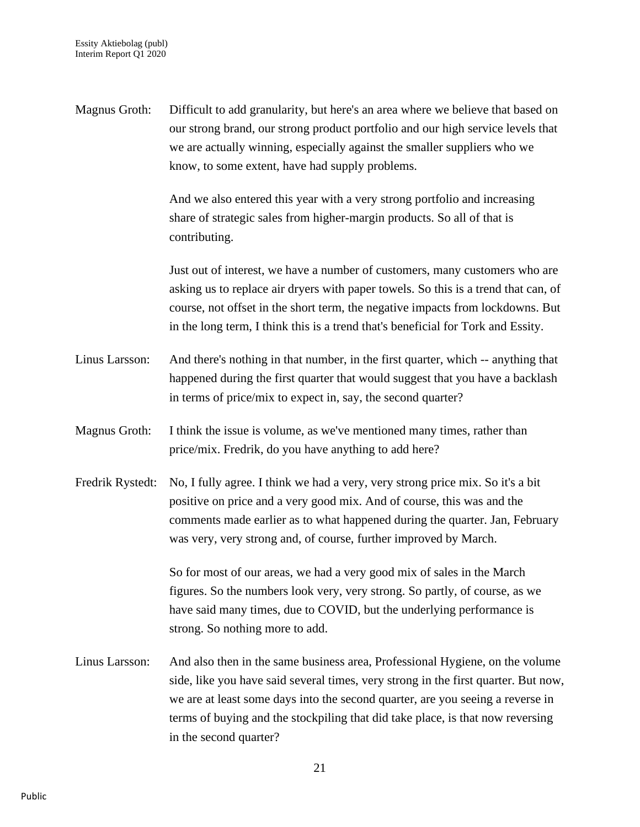Magnus Groth: Difficult to add granularity, but here's an area where we believe that based on our strong brand, our strong product portfolio and our high service levels that we are actually winning, especially against the smaller suppliers who we know, to some extent, have had supply problems.

> And we also entered this year with a very strong portfolio and increasing share of strategic sales from higher-margin products. So all of that is contributing.

Just out of interest, we have a number of customers, many customers who are asking us to replace air dryers with paper towels. So this is a trend that can, of course, not offset in the short term, the negative impacts from lockdowns. But in the long term, I think this is a trend that's beneficial for Tork and Essity.

- Linus Larsson: And there's nothing in that number, in the first quarter, which -- anything that happened during the first quarter that would suggest that you have a backlash in terms of price/mix to expect in, say, the second quarter?
- Magnus Groth: I think the issue is volume, as we've mentioned many times, rather than price/mix. Fredrik, do you have anything to add here?
- Fredrik Rystedt: No, I fully agree. I think we had a very, very strong price mix. So it's a bit positive on price and a very good mix. And of course, this was and the comments made earlier as to what happened during the quarter. Jan, February was very, very strong and, of course, further improved by March.

So for most of our areas, we had a very good mix of sales in the March figures. So the numbers look very, very strong. So partly, of course, as we have said many times, due to COVID, but the underlying performance is strong. So nothing more to add.

Linus Larsson: And also then in the same business area, Professional Hygiene, on the volume side, like you have said several times, very strong in the first quarter. But now, we are at least some days into the second quarter, are you seeing a reverse in terms of buying and the stockpiling that did take place, is that now reversing in the second quarter?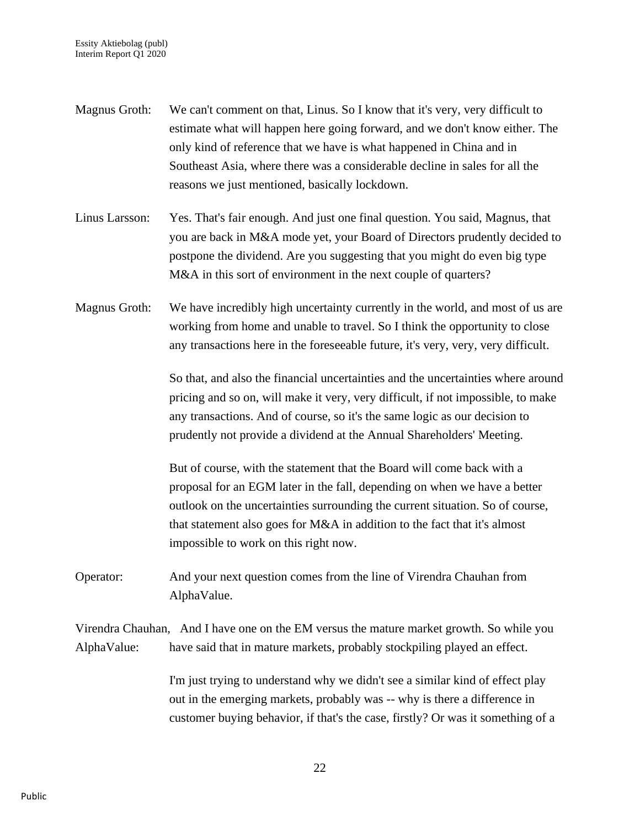- Magnus Groth: We can't comment on that, Linus. So I know that it's very, very difficult to estimate what will happen here going forward, and we don't know either. The only kind of reference that we have is what happened in China and in Southeast Asia, where there was a considerable decline in sales for all the reasons we just mentioned, basically lockdown.
- Linus Larsson: Yes. That's fair enough. And just one final question. You said, Magnus, that you are back in M&A mode yet, your Board of Directors prudently decided to postpone the dividend. Are you suggesting that you might do even big type M&A in this sort of environment in the next couple of quarters?
- Magnus Groth: We have incredibly high uncertainty currently in the world, and most of us are working from home and unable to travel. So I think the opportunity to close any transactions here in the foreseeable future, it's very, very, very difficult.

So that, and also the financial uncertainties and the uncertainties where around pricing and so on, will make it very, very difficult, if not impossible, to make any transactions. And of course, so it's the same logic as our decision to prudently not provide a dividend at the Annual Shareholders' Meeting.

But of course, with the statement that the Board will come back with a proposal for an EGM later in the fall, depending on when we have a better outlook on the uncertainties surrounding the current situation. So of course, that statement also goes for M&A in addition to the fact that it's almost impossible to work on this right now.

Operator: And your next question comes from the line of Virendra Chauhan from AlphaValue.

Virendra Chauhan, And I have one on the EM versus the mature market growth. So while you AlphaValue: have said that in mature markets, probably stockpiling played an effect.

> I'm just trying to understand why we didn't see a similar kind of effect play out in the emerging markets, probably was -- why is there a difference in customer buying behavior, if that's the case, firstly? Or was it something of a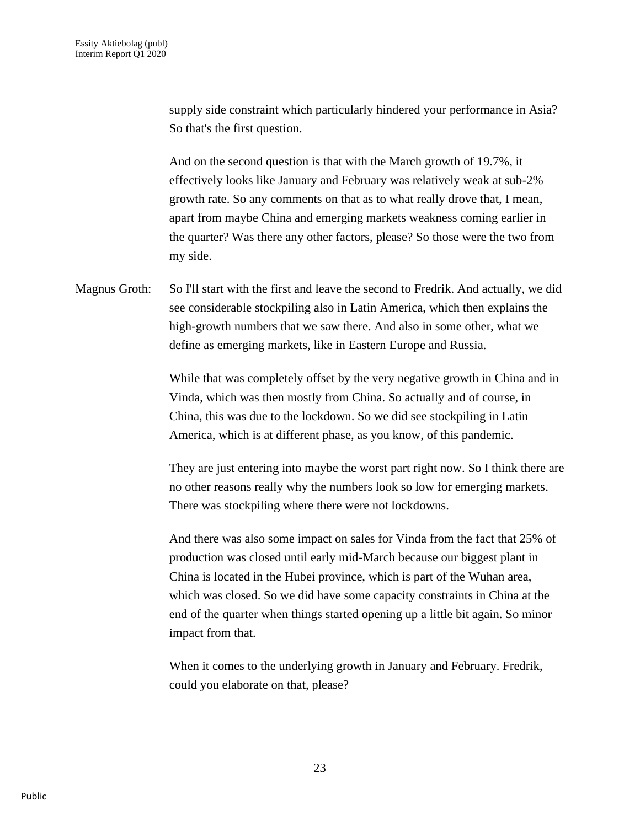supply side constraint which particularly hindered your performance in Asia? So that's the first question.

And on the second question is that with the March growth of 19.7%, it effectively looks like January and February was relatively weak at sub-2% growth rate. So any comments on that as to what really drove that, I mean, apart from maybe China and emerging markets weakness coming earlier in the quarter? Was there any other factors, please? So those were the two from my side.

Magnus Groth: So I'll start with the first and leave the second to Fredrik. And actually, we did see considerable stockpiling also in Latin America, which then explains the high-growth numbers that we saw there. And also in some other, what we define as emerging markets, like in Eastern Europe and Russia.

> While that was completely offset by the very negative growth in China and in Vinda, which was then mostly from China. So actually and of course, in China, this was due to the lockdown. So we did see stockpiling in Latin America, which is at different phase, as you know, of this pandemic.

> They are just entering into maybe the worst part right now. So I think there are no other reasons really why the numbers look so low for emerging markets. There was stockpiling where there were not lockdowns.

And there was also some impact on sales for Vinda from the fact that 25% of production was closed until early mid-March because our biggest plant in China is located in the Hubei province, which is part of the Wuhan area, which was closed. So we did have some capacity constraints in China at the end of the quarter when things started opening up a little bit again. So minor impact from that.

When it comes to the underlying growth in January and February. Fredrik, could you elaborate on that, please?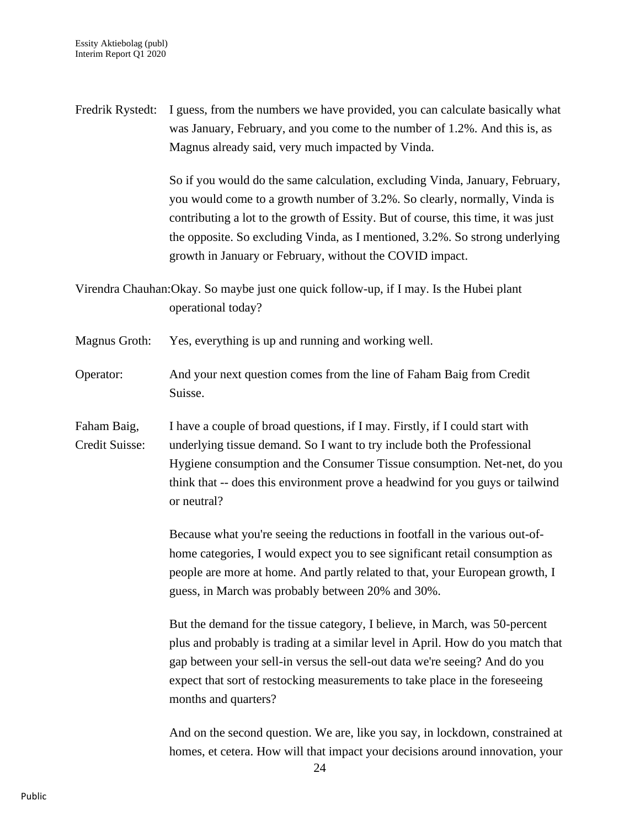Fredrik Rystedt: I guess, from the numbers we have provided, you can calculate basically what was January, February, and you come to the number of 1.2%. And this is, as Magnus already said, very much impacted by Vinda.

> So if you would do the same calculation, excluding Vinda, January, February, you would come to a growth number of 3.2%. So clearly, normally, Vinda is contributing a lot to the growth of Essity. But of course, this time, it was just the opposite. So excluding Vinda, as I mentioned, 3.2%. So strong underlying growth in January or February, without the COVID impact.

Virendra Chauhan:Okay. So maybe just one quick follow-up, if I may. Is the Hubei plant operational today?

Magnus Groth: Yes, everything is up and running and working well.

Operator: And your next question comes from the line of Faham Baig from Credit Suisse.

Faham Baig, I have a couple of broad questions, if I may. Firstly, if I could start with Credit Suisse: underlying tissue demand. So I want to try include both the Professional Hygiene consumption and the Consumer Tissue consumption. Net-net, do you think that -- does this environment prove a headwind for you guys or tailwind or neutral?

> Because what you're seeing the reductions in footfall in the various out-ofhome categories, I would expect you to see significant retail consumption as people are more at home. And partly related to that, your European growth, I guess, in March was probably between 20% and 30%.

But the demand for the tissue category, I believe, in March, was 50-percent plus and probably is trading at a similar level in April. How do you match that gap between your sell-in versus the sell-out data we're seeing? And do you expect that sort of restocking measurements to take place in the foreseeing months and quarters?

And on the second question. We are, like you say, in lockdown, constrained at homes, et cetera. How will that impact your decisions around innovation, your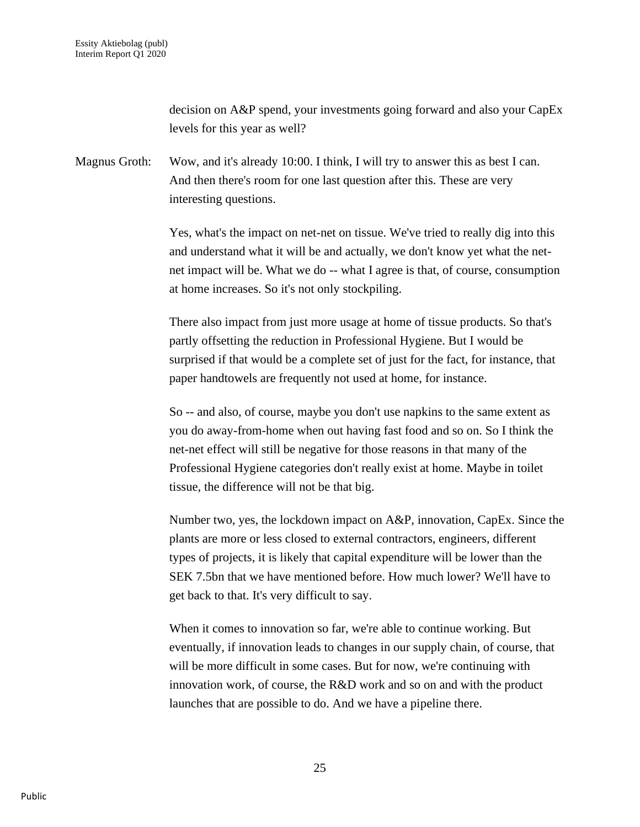decision on A&P spend, your investments going forward and also your CapEx levels for this year as well?

Magnus Groth: Wow, and it's already 10:00. I think, I will try to answer this as best I can. And then there's room for one last question after this. These are very interesting questions.

> Yes, what's the impact on net-net on tissue. We've tried to really dig into this and understand what it will be and actually, we don't know yet what the netnet impact will be. What we do -- what I agree is that, of course, consumption at home increases. So it's not only stockpiling.

There also impact from just more usage at home of tissue products. So that's partly offsetting the reduction in Professional Hygiene. But I would be surprised if that would be a complete set of just for the fact, for instance, that paper handtowels are frequently not used at home, for instance.

So -- and also, of course, maybe you don't use napkins to the same extent as you do away-from-home when out having fast food and so on. So I think the net-net effect will still be negative for those reasons in that many of the Professional Hygiene categories don't really exist at home. Maybe in toilet tissue, the difference will not be that big.

Number two, yes, the lockdown impact on A&P, innovation, CapEx. Since the plants are more or less closed to external contractors, engineers, different types of projects, it is likely that capital expenditure will be lower than the SEK 7.5bn that we have mentioned before. How much lower? We'll have to get back to that. It's very difficult to say.

When it comes to innovation so far, we're able to continue working. But eventually, if innovation leads to changes in our supply chain, of course, that will be more difficult in some cases. But for now, we're continuing with innovation work, of course, the R&D work and so on and with the product launches that are possible to do. And we have a pipeline there.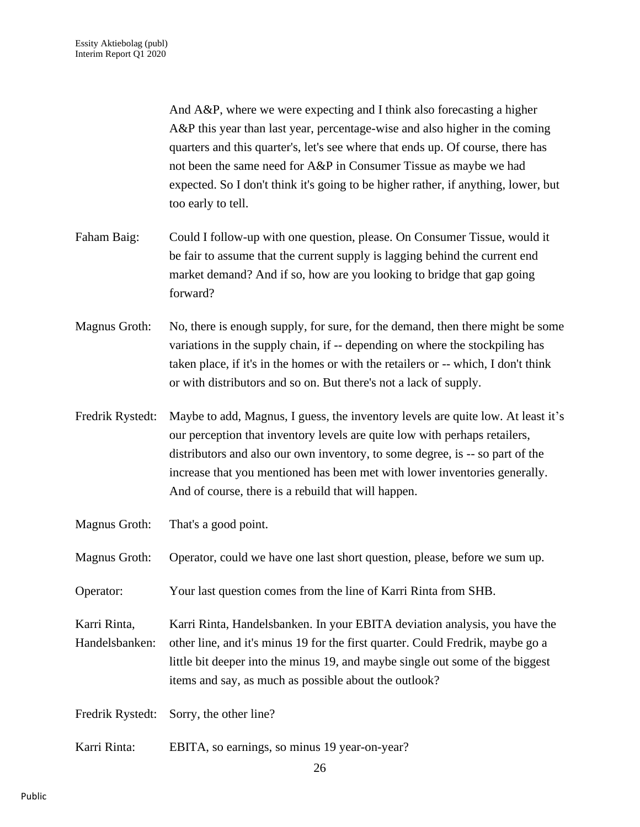And A&P, where we were expecting and I think also forecasting a higher A&P this year than last year, percentage-wise and also higher in the coming quarters and this quarter's, let's see where that ends up. Of course, there has not been the same need for A&P in Consumer Tissue as maybe we had expected. So I don't think it's going to be higher rather, if anything, lower, but too early to tell.

- Faham Baig: Could I follow-up with one question, please. On Consumer Tissue, would it be fair to assume that the current supply is lagging behind the current end market demand? And if so, how are you looking to bridge that gap going forward?
- Magnus Groth: No, there is enough supply, for sure, for the demand, then there might be some variations in the supply chain, if -- depending on where the stockpiling has taken place, if it's in the homes or with the retailers or -- which, I don't think or with distributors and so on. But there's not a lack of supply.
- Fredrik Rystedt: Maybe to add, Magnus, I guess, the inventory levels are quite low. At least it's our perception that inventory levels are quite low with perhaps retailers, distributors and also our own inventory, to some degree, is -- so part of the increase that you mentioned has been met with lower inventories generally. And of course, there is a rebuild that will happen.

Magnus Groth: That's a good point.

Magnus Groth: Operator, could we have one last short question, please, before we sum up.

Operator: Your last question comes from the line of Karri Rinta from SHB.

Karri Rinta, Karri Rinta, Handelsbanken. In your EBITA deviation analysis, you have the Handelsbanken: other line, and it's minus 19 for the first quarter. Could Fredrik, maybe go a little bit deeper into the minus 19, and maybe single out some of the biggest items and say, as much as possible about the outlook?

Fredrik Rystedt: Sorry, the other line?

Karri Rinta: EBITA, so earnings, so minus 19 year-on-year?